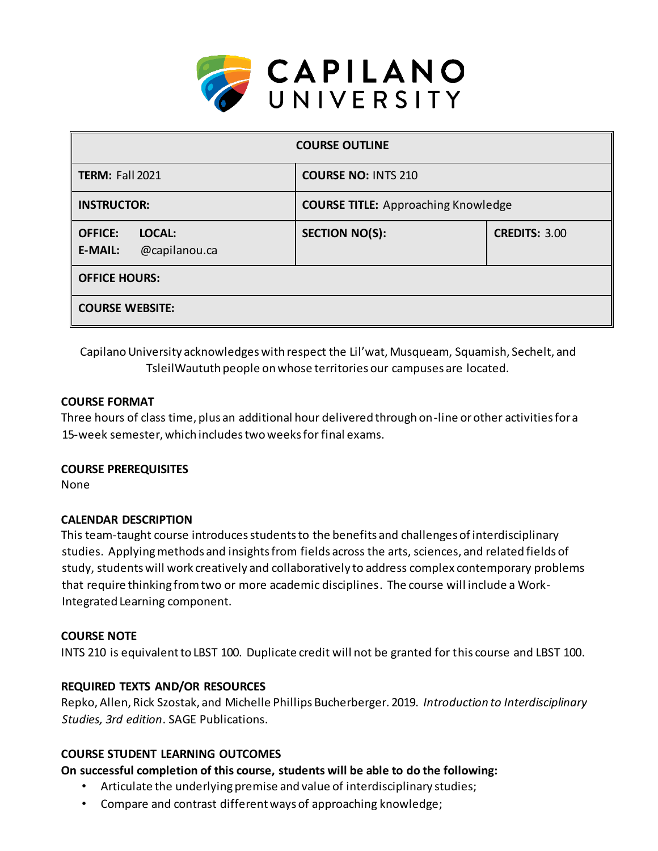

| <b>COURSE OUTLINE</b>                                              |                                            |                      |  |  |  |  |
|--------------------------------------------------------------------|--------------------------------------------|----------------------|--|--|--|--|
| <b>TERM: Fall 2021</b>                                             | <b>COURSE NO: INTS 210</b>                 |                      |  |  |  |  |
| <b>INSTRUCTOR:</b>                                                 | <b>COURSE TITLE: Approaching Knowledge</b> |                      |  |  |  |  |
| <b>OFFICE:</b><br><b>LOCAL:</b><br>@capilanou.ca<br><b>E-MAIL:</b> | <b>SECTION NO(S):</b>                      | <b>CREDITS: 3.00</b> |  |  |  |  |
| <b>OFFICE HOURS:</b>                                               |                                            |                      |  |  |  |  |
| <b>COURSE WEBSITE:</b>                                             |                                            |                      |  |  |  |  |

Capilano University acknowledges with respect the Lil'wat, Musqueam, Squamish, Sechelt, and TsleilWaututh people on whose territories our campuses are located.

### **COURSE FORMAT**

Three hours of class time, plus an additional hour delivered through on-line or other activities for a 15-week semester, which includes two weeks for final exams.

### **COURSE PREREQUISITES**

None

# **CALENDAR DESCRIPTION**

This team-taught course introduces students to the benefits and challenges of interdisciplinary studies. Applying methods and insights from fields across the arts, sciences, and related fields of study, students will work creatively and collaboratively to address complex contemporary problems that require thinking from two or more academic disciplines. The course will include a Work-Integrated Learning component.

# **COURSE NOTE**

INTS 210 is equivalent to LBST 100. Duplicate credit will not be granted for this course and LBST 100.

# **REQUIRED TEXTS AND/OR RESOURCES**

Repko, Allen, Rick Szostak, and Michelle Phillips Bucherberger. 2019. *Introduction to Interdisciplinary Studies, 3rd edition*. SAGE Publications.

# **COURSE STUDENT LEARNING OUTCOMES**

# **On successful completion of this course, students will be able to do the following:**

- Articulate the underlying premise and value of interdisciplinary studies;
- Compare and contrast different ways of approaching knowledge;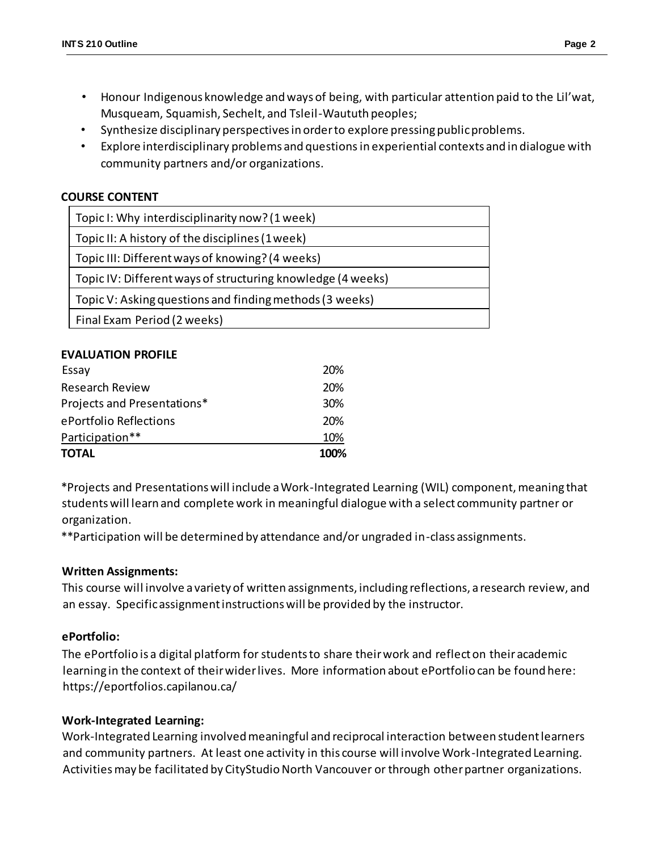- Honour Indigenous knowledge and ways of being, with particular attention paid to the Lil'wat, Musqueam, Squamish, Sechelt, and Tsleil-Waututh peoples;
- Synthesize disciplinary perspectives in order to explore pressing public problems.
- Explore interdisciplinary problems and questions in experiential contexts and in dialogue with community partners and/or organizations.

### **COURSE CONTENT**

#### **EVALUATION PROFILE**

| TOTAL                       | 100% |
|-----------------------------|------|
| Participation**             | 10%  |
| ePortfolio Reflections      | 20%  |
| Projects and Presentations* | 30%  |
| <b>Research Review</b>      | 20%  |
| Essay                       | 20%  |

\*Projects and Presentations will include a Work-Integrated Learning (WIL) component, meaning that students will learn and complete work in meaningful dialogue with a select community partner or organization.

\*\*Participation will be determined by attendance and/or ungraded in-class assignments.

### **Written Assignments:**

This course will involve a variety of written assignments, including reflections, a research review, and an essay. Specific assignment instructions will be provided by the instructor.

### **ePortfolio:**

The ePortfolio is a digital platform for students to share their work and reflect on their academic learning in the context of their wider lives. More information about ePortfolio can be found here: https://eportfolios.capilanou.ca/

### **Work-Integrated Learning:**

Work-Integrated Learning involved meaningful and reciprocal interaction between student learners and community partners. At least one activity in this course will involve Work-Integrated Learning. Activities may be facilitated by CityStudio North Vancouver or through other partner organizations.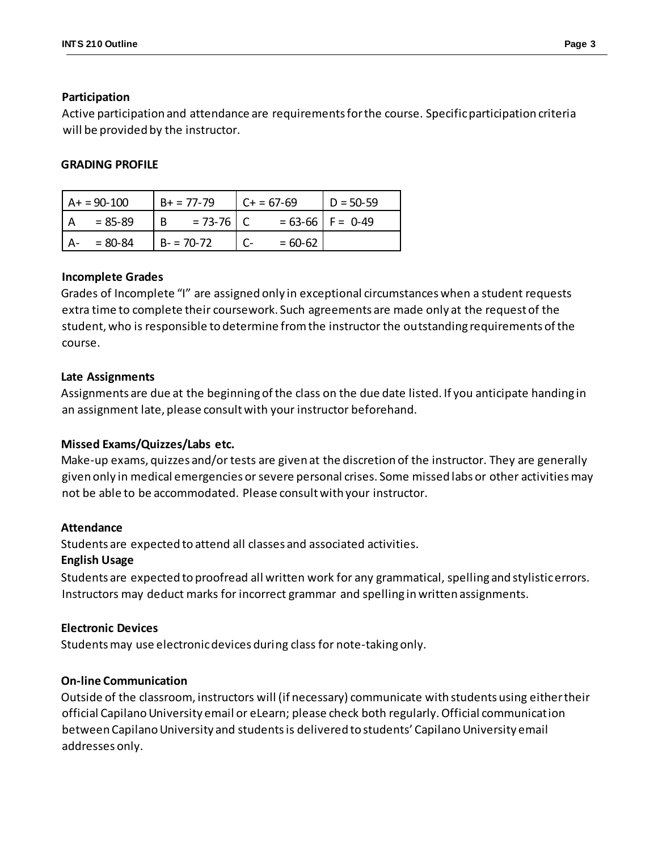### **Participation**

Active participation and attendance are requirements for the course. Specific participation criteria will be provided by the instructor.

### **GRADING PROFILE**

| $A+ = 90-100$ |          | $B+ = 77-79$  | $C + 57-69$          | $D = 50-59$ |
|---------------|----------|---------------|----------------------|-------------|
| = 85-89       | <b>B</b> | $= 73 - 76$ C | $= 63-66$   F = 0-49 |             |
| $= 80 - 84$   |          | $B - 70-72$   | $= 60 - 62$          |             |

### **Incomplete Grades**

Grades of Incomplete "I" are assigned only in exceptional circumstances when a student requests extra time to complete their coursework. Such agreements are made only at the request of the student, who is responsible to determine from the instructor the outstanding requirements of the course.

### **Late Assignments**

Assignments are due at the beginning of the class on the due date listed. If you anticipate handing in an assignment late, please consult with your instructor beforehand.

# **Missed Exams/Quizzes/Labs etc.**

Make-up exams, quizzes and/or tests are given at the discretion of the instructor. They are generally given only in medical emergencies or severe personal crises. Some missed labs or other activities may not be able to be accommodated. Please consult with your instructor.

### **Attendance**

Students are expected to attend all classes and associated activities.

### **English Usage**

Students are expected to proofread all written work for any grammatical, spelling and stylistic errors. Instructors may deduct marks for incorrect grammar and spelling in written assignments.

# **Electronic Devices**

Students may use electronic devices during class for note-taking only.

### **On-line Communication**

Outside of the classroom, instructors will (if necessary) communicate with students using either their official Capilano University email or eLearn; please check both regularly. Official communication between Capilano University and students is delivered to students' Capilano University email addresses only.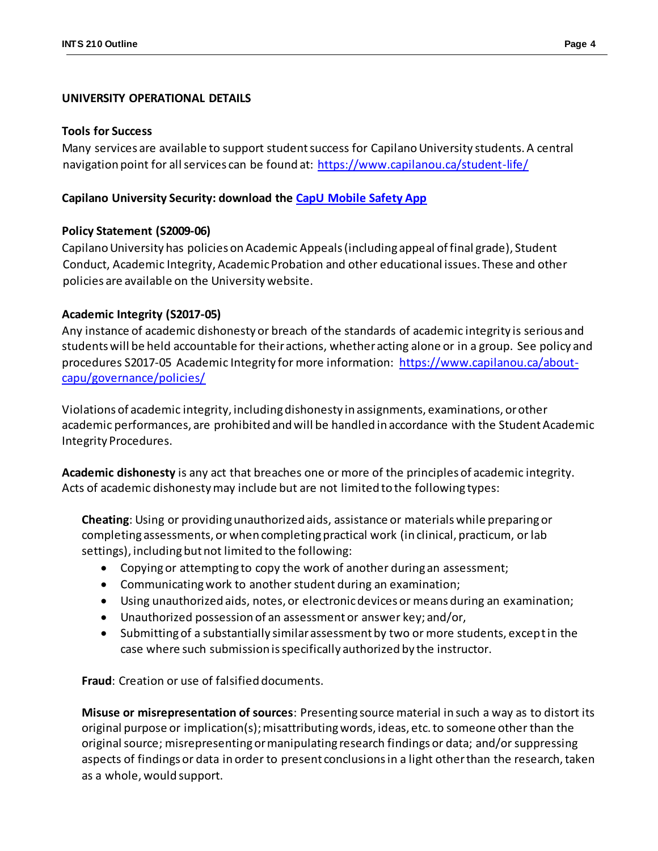#### **UNIVERSITY OPERATIONAL DETAILS**

#### **Tools for Success**

Many services are available to support studentsuccess for Capilano University students. A central navigation point for all services can be found at:<https://www.capilanou.ca/student-life/>

#### **Capilano University Security: download the [CapU Mobile Safety App](https://www.capilanou.ca/student-life/support--wellness/safety--security/capu-safe-app/)**

#### **Policy Statement (S2009-06)**

Capilano University has policies on Academic Appeals (including appeal of final grade), Student Conduct, Academic Integrity, Academic Probation and other educational issues. These and other policies are available on the University website.

#### **Academic Integrity (S2017-05)**

Any instance of academic dishonesty or breach of the standards of academic integrity is serious and students will be held accountable for their actions, whether acting alone or in a group. See policy and procedures S2017-05 Academic Integrity for more information: [https://www.capilanou.ca/about](https://www.capilanou.ca/about-capu/governance/policies/)[capu/governance/policies/](https://www.capilanou.ca/about-capu/governance/policies/)

Violations of academic integrity, including dishonesty in assignments, examinations, or other academic performances, are prohibited and will be handled in accordance with the Student Academic Integrity Procedures.

**Academic dishonesty** is any act that breaches one or more of the principles of academic integrity. Acts of academic dishonesty may include but are not limited to the following types:

**Cheating**: Using or providing unauthorized aids, assistance or materials while preparing or completing assessments, or when completing practical work (in clinical, practicum, or lab settings), including but not limited to the following:

- Copying or attempting to copy the work of another during an assessment;
- Communicating work to another student during an examination;
- Using unauthorized aids, notes, or electronic devices or means during an examination;
- Unauthorized possession of an assessment or answer key; and/or,
- Submitting of a substantially similar assessment by two or more students, except in the case where such submission is specifically authorized by the instructor.

**Fraud**: Creation or use of falsified documents.

**Misuse or misrepresentation of sources**: Presenting source material in such a way as to distort its original purpose or implication(s); misattributing words, ideas, etc. to someone other than the original source; misrepresenting or manipulating research findings or data; and/or suppressing aspects of findings or data in order to present conclusions in a light other than the research, taken as a whole, would support.